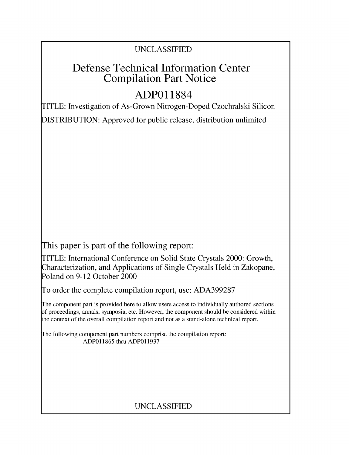### UNCLASSIFIED

## Defense Technical Information Center Compilation Part Notice

# **ADPO 11884**

TITLE: Investigation of As-Grown Nitrogen-Doped Czochralski Silicon

DISTRIBUTION: Approved for public release, distribution unlimited

This paper is part of the following report:

TITLE: International Conference on Solid State Crystals 2000: Growth, Characterization, and Applications of Single Crystals Held in Zakopane, Poland on 9-12 October 2000

To order the complete compilation report, use: ADA399287

The component part is provided here to allow users access to individually authored sections f proceedings, annals, symposia, etc. However, the component should be considered within [he context of the overall compilation report and not as a stand-alone technical report.

The following component part numbers comprise the compilation report: ADP011865 thru ADP011937

## UNCLASSIFIED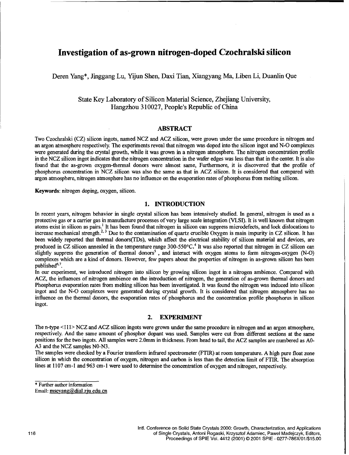### Investigation of as-grown nitrogen-doped Czochralski silicon

Deren Yang\*, Jinggang Lu, Yijun Shen, Daxi Tian, Xiangyang Ma, Liben Li, Duanlin Que

State Key Laboratory of Silicon Material Science, Zhejiang University, Hangzhou 310027, People's Republic of China

#### ABSTRACT

Two Czochralski (CZ) silicon ingots, named NCZ and ACZ silicon, were grown under the same procedure in nitrogen and an argon atmosphere respectively. The experiments reveal that nitrogen was doped into the silicon ingot and N-O complexes were generated during the crystal growth, while it was grown in a nitrogen atmosphere. The nitrogen concentration profile in the NCZ silicon ingot indicates that the nitrogen concentration in the wafer edges was less than that in the center. It is also found that the as-grown oxygen-thermal donors were almost same, Furthermore, it is discovered that the profile of phosphorus concentration in NCZ silicon was also the same as that in ACZ silicon. It is considered that compared with argon atmosphere, nitrogen atmosphere has no influence on the evaporation rates of phosphorus from melting silicon.

Keywords: nitrogen doping, oxygen, silicon.

#### 1. **INTRODUCTION**

In recent years, nitrogen behavior in single crystal silicon has been intensively studied. In general, nitrogen is used as a protective gas or a carrier gas in manufacture processes of very large scale integration (VLSI). It is well known that nitrogen atoms exist in silicon as pairs.<sup>1</sup> It has been found that nitrogen in silicon can suppress microdefects, and lock dislocations to increase mechanical strength.<sup>2, 3</sup> Due to the contamination of quartz crucible Oxygen is main impurity in CZ silicon. It has been widely reported that thermal donors(TDs), which affect the electrical stability of silicon material and devices, are produced in CZ silicon annealed in the temperature range 300-550°C.<sup>4</sup> It was also reported that nitrogen in CZ silicon can slightly suppress the generation of thermal donors<sup>5</sup>, and interact with oxygen atoms to form nitrogen-oxygen (N-O) complexes which are a kind of donors. However, few papers about the properties of nitrogen in as-grown silicon has been published<sup>6,7</sup>.

In our experiment, we introduced nitrogen into silicon by growing silicon ingot in a nitrogen ambience. Compared with ACZ, the influences of nitrogen ambience on the introduction of nitrogen, the generation of as-grown thermal donors and Phosphorus evaporation rates from melting silicon has been investigated. It was found the nitrogen was induced into silicon ingot and the N-O complexes were generated during crystal growth. It is considered that nitrogen atmosphere has no influence on the thermal donors, the evaporation rates of phosphorus and the concentration profile phosphorus in silicon ingot.

#### 2. EXPERIMENT

The n-type **<111>** NCZ and ACZ silicon ingots were grown under the same procedure in nitrogen and an argon atmosphere, respectively. And the same amount of phosphor dopant was used. Samples were cut from different sections at the same positions for the two ingots. All samples were 2.0mm in thickness. From head to tail, the ACZ samples are numbered as A0- A3 and the NCZ samples NO-N3.

The samples were checked by a Fourier transform infrared spectrometer (FTIR) at room temperature. A high pure float zone silicon in which the concentration of oxygen, nitrogen and carbon is less than the detection limit of FTIR. The absorption lines at 1107 cm-1 and 963 cm-1 were used to determine the concentration of oxygen and nitrogen, respectively,

\* Further author information

Email: mseyang@dial.zju.edu.cn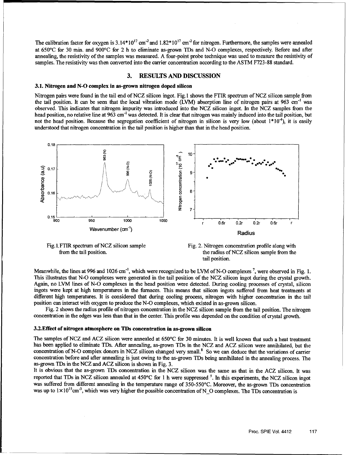The calibration factor for oxygen is  $3.14*10^{17}$  cm<sup>-2</sup> and  $1.82*10^{17}$  cm<sup>-2</sup> for nitrogen. Furthermore, the samples were annealed at 650°C for 30 min. and 900°C for 2 h to eliminate as-grown TDs and N-O complexes, respectively. Before and after annealing, the resistivity of the samples was measured. A four-point probe technique was used to measure the resistivity of samples. The resistivity was then converted into the carrier concentration according to the ASTM F723-88 standard.

#### **3. RESULTS AND DISCUSSION**

#### **3.1.** Nitrogen and **N-O** complex in as-grown nitrogen doped silicon

Nitrogen pairs were found in the tail end of **NCZ** silicon ingot. Fig. 1 shows the FTIR spectrum of NCZ silicon sample from the tail position. It can be seen that the local vibration mode (LVM) absorption line of nitrogen pairs at 963 cm<sup>-1</sup> was observed. This indicates that nitrogen impurity was introduced into the NCZ silicon ingot. In the NCZ samples from the head position, no relative line at 963 cm<sup>-1</sup> was detected. It is clear that nitrogen was mainly induced into the tail position, but not the head position. Because the segregation coefficient of nitrogen in silicon is very low (about  $1*10^{-4}$ ), it is easily understood that nitrogen concentration in the tail position is higher than that in the head position.



Fig. 1. FTIR spectrum of NCZ silicon sample

FTIR spectrum of NCZ silicon sample Fig. 2. Nitrogen concentration profile along with from the tail position. tail position.

Meanwhile, the lines at **996** and **1026** cm-1, which were recognized to be LVM of **N-0** complexes **7,** were observed in Fig. **1.** This illustrates that **N-0** complexes were generated in the tail position of the **NCZ** silicon ingot during the crystal growth. Again, no LVM lines of **N-0** complexes in the head position were detected. During cooling processes of crystal, silicon ingots were kept at high temperatures in the furnaces. This means that silicon ingots suffered from heat treatments at different high temperatures. It is considered that during cooling process, nitrogen with higher concentration in the tail position can interact with oxygen to produce the **N-0** complexes, which existed in as-grown silicon.

Fig. 2 shows the radius profile of nitrogen concentration in the **NCZ** silicon sample from the tail position. The nitrogen concentration in the edges was less than that in the center. This profile was depended on the condition of crystal growth.

#### 3.2.Effect of nitrogen atmosphere on TDs concentration in as-grown silicon

The samples of NCZ and ACZ silicon were annealed at 650°C for 30 minutes. It is well known that such a heat treatment has been applied to eliminate TDs. After annealing, as-grown TDs in the **NCZ** and ACZ silicon were annihilated, but the concentration of **N-0** complex donors in **NCZ** silicon changed very small.8 So we can deduce that the variations of carrier concentration before and after annealing is just owing to the as-grown TDs being annihilated in the annealing process. The as-grown TDs in the **NCZ** and ACZ silicon is shown in Fig. **3.**

It is obvious that the as-grown TDs concentration in the **NCZ** silicon was the same as that in the ACZ silicon. It was reported that TDs in **NCZ** silicon annealed at 450°C for **I** h were suppressed **5.** In this experiments, the **NCZ** silicon ingot was suffered from different annealing in the temperature range of 350-550°C. Moreover, the as-grown TDs concentration was up to  $1 \times 10^{15}$ cm<sup>-3</sup>, which was very higher the possible concentration of N<sub>o</sub> C complexes. The TDs concentration is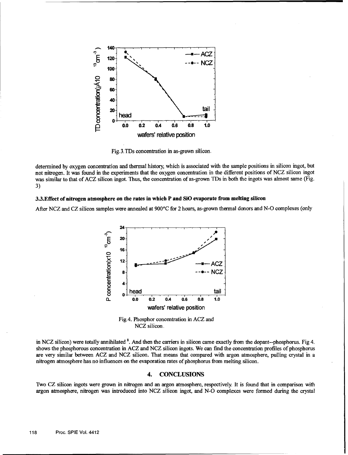

Fig. 3. TDs concentration in as-grown silicon.

determined by oxygen concentration and thermal history, which is associated with the sample positions in silicon ingot, but not nitrogen. It was found in the experiments that the oxygen concentration in the different positions of NCZ silicon ingot was similar to that of ACZ silicon ingot. Thus, the concentration of as-grown TDs in both the ingots was almost same (Fig. 3)

#### 3.3.Effect of nitrogen atmosphere on the rates in which P and SiO evaporate from melting silicon

After **NCZ** and CZ silicon samples were annealed at 900°C for 2 hours, as-grown thermal donors and N-O complexes (only



Fig.4. Phosphor concentration in ACZ and NCZ silicon.

in NCZ silicon) were totally annihilated **8.** And then the carriers in silicon came exactly from the dopant--phosphorus. Fig 4. shows the phosphorous concentration in ACZ and NCZ silicon ingots. We can find the concentration profiles of phosphorus are very similar between ACZ and NCZ silicon. That means that compared with argon atmosphere, pulling crystal in a nitrogen atmosphere has no influences on the evaporation rates of phosphorus from melting silicon.

#### 4. CONCLUSIONS

Two CZ silicon ingots were grown in nitrogen and an argon atmosphere, respectively. It is found that in comparison with argon atmosphere, nitrogen was introduced into NCZ silicon ingot, and N-O complexes were formed during the crystal